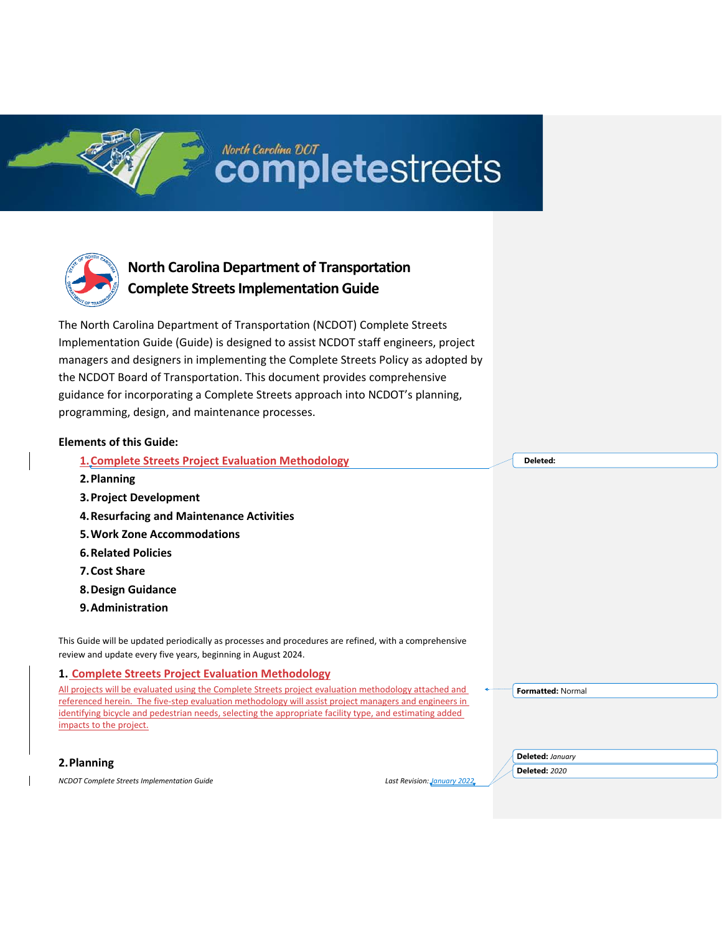# North Carolina DCT<br>COMpletestreets



# **North Carolina Department of Transportation Complete Streets Implementation Guide**

The North Carolina Department of Transportation (NCDOT) Complete Streets Implementation Guide (Guide) is designed to assist NCDOT staff engineers, project managers and designers in implementing the Complete Streets Policy as adopted by the NCDOT Board of Transportation. This document provides comprehensive guidance for incorporating a Complete Streets approach into NCDOT's planning, programming, design, and maintenance processes.

## **Elements of this Guide:**

**1.Complete Streets Project Evaluation Methodology**

- **2.Planning**
- **3.Project Development**
- **4.Resurfacing and Maintenance Activities**
- **5.Work Zone Accommodations**
- **6.Related Policies**
- **7.Cost Share**
- **8.Design Guidance**
- **9.Administration**

This Guide will be updated periodically as processes and procedures are refined, with a comprehensive review and update every five years, beginning in August 2024.

## **1. Complete Streets Project Evaluation Methodology**

All projects will be evaluated using the Complete Streets project evaluation methodology attached and referenced herein. The five-step evaluation methodology will assist project managers and engineers in identifying bicycle and pedestrian needs, selecting the appropriate facility type, and estimating added impacts to the project.

**Formatted:** Normal

**2.Planning**

*NCDOT Complete Streets Implementation Guide Last Revision: January 2022*

**Deleted:** *January*  **Deleted:** *2020*

**Deleted:**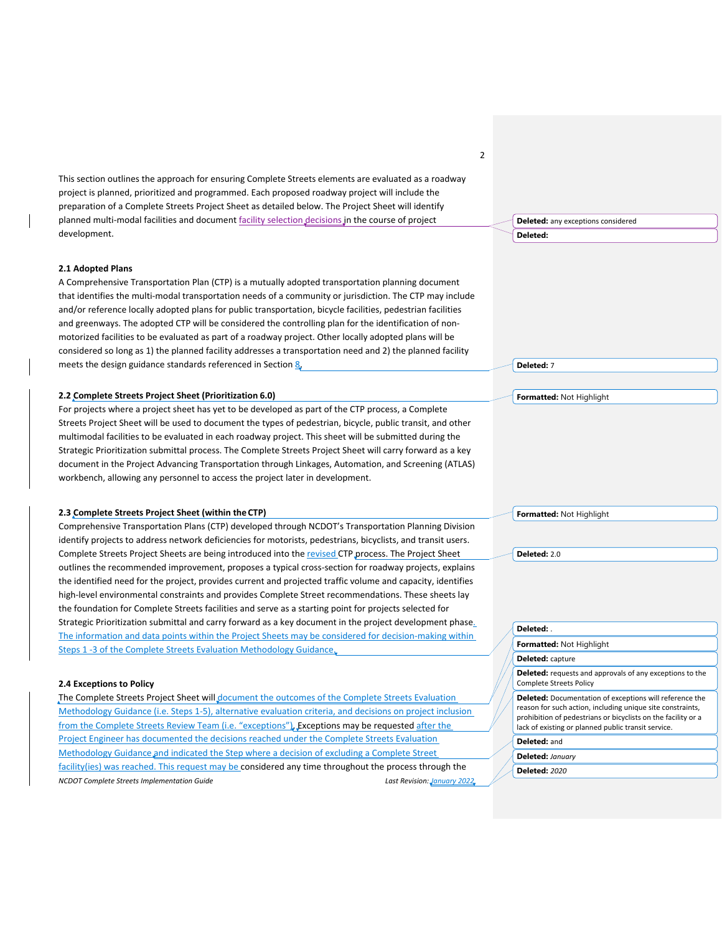This section outlines the approach for ensuring Complete Streets elements are evaluated as a roadway project is planned, prioritized and programmed. Each proposed roadway project will include the preparation of a Complete Streets Project Sheet as detailed below. The Project Sheet will identify planned multi-modal facilities and document facility selection decisions in the course of project development.

#### **2.1 Adopted Plans**

A Comprehensive Transportation Plan (CTP) is a mutually adopted transportation planning document that identifies the multi-modal transportation needs of a community or jurisdiction. The CTP may include and/or reference locally adopted plans for public transportation, bicycle facilities, pedestrian facilities and greenways. The adopted CTP will be considered the controlling plan for the identification of nonmotorized facilities to be evaluated as part of a roadway project. Other locally adopted plans will be considered so long as 1) the planned facility addresses a transportation need and 2) the planned facility meets the design guidance standards referenced in Section 8.

#### **2.2 Complete Streets Project Sheet (Prioritization 6.0)**

For projects where a project sheet has yet to be developed as part of the CTP process, a Complete Streets Project Sheet will be used to document the types of pedestrian, bicycle, public transit, and other multimodal facilities to be evaluated in each roadway project. This sheet will be submitted during the Strategic Prioritization submittal process. The Complete Streets Project Sheet will carry forward as a key document in the Project Advancing Transportation through Linkages, Automation, and Screening (ATLAS) workbench, allowing any personnel to access the project later in development.

#### **2.3 Complete Streets Project Sheet (within the CTP)**

Comprehensive Transportation Plans (CTP) developed through NCDOT's Transportation Planning Division identify projects to address network deficiencies for motorists, pedestrians, bicyclists, and transit users. Complete Streets Project Sheets are being introduced into the revised CTP process. The Project Sheet outlines the recommended improvement, proposes a typical cross-section for roadway projects, explains the identified need for the project, provides current and projected traffic volume and capacity, identifies high-level environmental constraints and provides Complete Street recommendations. These sheets lay the foundation for Complete Streets facilities and serve as a starting point for projects selected for Strategic Prioritization submittal and carry forward as a key document in the project development phase. The information and data points within the Project Sheets may be considered for decision-making within Steps 1 -3 of the Complete Streets Evaluation Methodology Guidance.

#### **2.4 Exceptions to Policy**

*NCDOT Complete Streets Implementation Guide Last Revision: January 2022* The Complete Streets Project Sheet will document the outcomes of the Complete Streets Evaluation Methodology Guidance (i.e. Steps 1-5), alternative evaluation criteria, and decisions on project inclusion from the Complete Streets Review Team (i.e. "exceptions"). Exceptions may be requested after the Project Engineer has documented the decisions reached under the Complete Streets Evaluation Methodology Guidance and indicated the Step where a decision of excluding a Complete Street facility(ies) was reached. This request may be considered any time throughout the process through the

**Deleted:** any exceptions considered

**Deleted:** 

2

**Deleted:** 7

**Formatted:** Not Highlight

**Formatted:** Not Highlight

**Deleted:** 2.0

| Deleted:                                                                                                                                                                                                                                             |
|------------------------------------------------------------------------------------------------------------------------------------------------------------------------------------------------------------------------------------------------------|
| Formatted: Not Highlight                                                                                                                                                                                                                             |
| Deleted: capture                                                                                                                                                                                                                                     |
| <b>Deleted:</b> requests and approvals of any exceptions to the<br><b>Complete Streets Policy</b>                                                                                                                                                    |
| <b>Deleted:</b> Documentation of exceptions will reference the<br>reason for such action, including unique site constraints,<br>prohibition of pedestrians or bicyclists on the facility or a<br>lack of existing or planned public transit service. |
| Deleted: and                                                                                                                                                                                                                                         |
| Deleted: January                                                                                                                                                                                                                                     |
| <b>Deleted: 2020</b>                                                                                                                                                                                                                                 |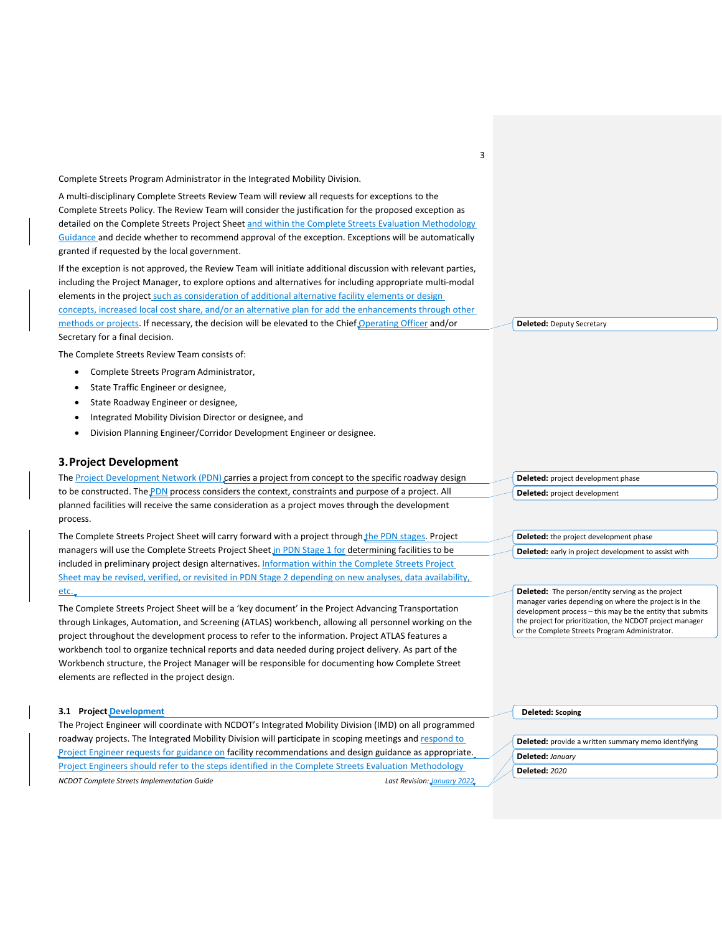Complete Streets Program Administrator in the Integrated Mobility Division.

A multi-disciplinary Complete Streets Review Team will review all requests for exceptions to the Complete Streets Policy. The Review Team will consider the justification for the proposed exception as detailed on the Complete Streets Project Sheet and within the Complete Streets Evaluation Methodology Guidance and decide whether to recommend approval of the exception. Exceptions will be automatically granted if requested by the local government.

If the exception is not approved, the Review Team will initiate additional discussion with relevant parties, including the Project Manager, to explore options and alternatives for including appropriate multi-modal elements in the project such as consideration of additional alternative facility elements or design concepts, increased local cost share, and/or an alternative plan for add the enhancements through other methods or projects. If necessary, the decision will be elevated to the Chief Operating Officer and/or Secretary for a final decision.

The Complete Streets Review Team consists of:

- Complete Streets Program Administrator,
- State Traffic Engineer or designee,
- State Roadway Engineer or designee,
- Integrated Mobility Division Director or designee, and
- Division Planning Engineer/Corridor Development Engineer or designee.

#### **3.Project Development**

The Project Development Network (PDN) carries a project from concept to the specific roadway design to be constructed. The PDN process considers the context, constraints and purpose of a project. All planned facilities will receive the same consideration as a project moves through the development process. **Deleted:** project development phase **Deleted:** project development

The Complete Streets Project Sheet will carry forward with a project through the PDN stages. Project managers will use the Complete Streets Project Sheet in PDN Stage 1 for determining facilities to be included in preliminary project design alternatives. Information within the Complete Streets Project Sheet may be revised, verified, or revisited in PDN Stage 2 depending on new analyses, data availability, etc.

The Complete Streets Project Sheet will be a 'key document' in the Project Advancing Transportation through Linkages, Automation, and Screening (ATLAS) workbench, allowing all personnel working on the project throughout the development process to refer to the information. Project ATLAS features a workbench tool to organize technical reports and data needed during project delivery. As part of the Workbench structure, the Project Manager will be responsible for documenting how Complete Street elements are reflected in the project design.

| 3.1 Project Development                                                                                |                             | Deleted: Scoping                                           |
|--------------------------------------------------------------------------------------------------------|-----------------------------|------------------------------------------------------------|
| The Project Engineer will coordinate with NCDOT's Integrated Mobility Division (IMD) on all programmed |                             |                                                            |
| roadway projects. The Integrated Mobility Division will participate in scoping meetings and respond to |                             | <b>Deleted:</b> provide a written summary memo identifying |
| Project Engineer requests for guidance on facility recommendations and design guidance as appropriate. |                             | Deleted: January                                           |
| Project Engineers should refer to the steps identified in the Complete Streets Evaluation Methodology  |                             | <b>Deleted: 2020</b>                                       |
| <b>NCDOT Complete Streets Implementation Guide</b>                                                     | Last Revision: January 2022 |                                                            |
|                                                                                                        |                             |                                                            |

**Deleted:** Deputy Secretary

**Deleted:** the project development phase **Deleted:** early in project development to assist with

**Deleted:** The person/entity serving as the project manager varies depending on where the project is in the development process – this may be the entity that submits the project for prioritization, the NCDOT project manager or the Complete Streets Program Administrator.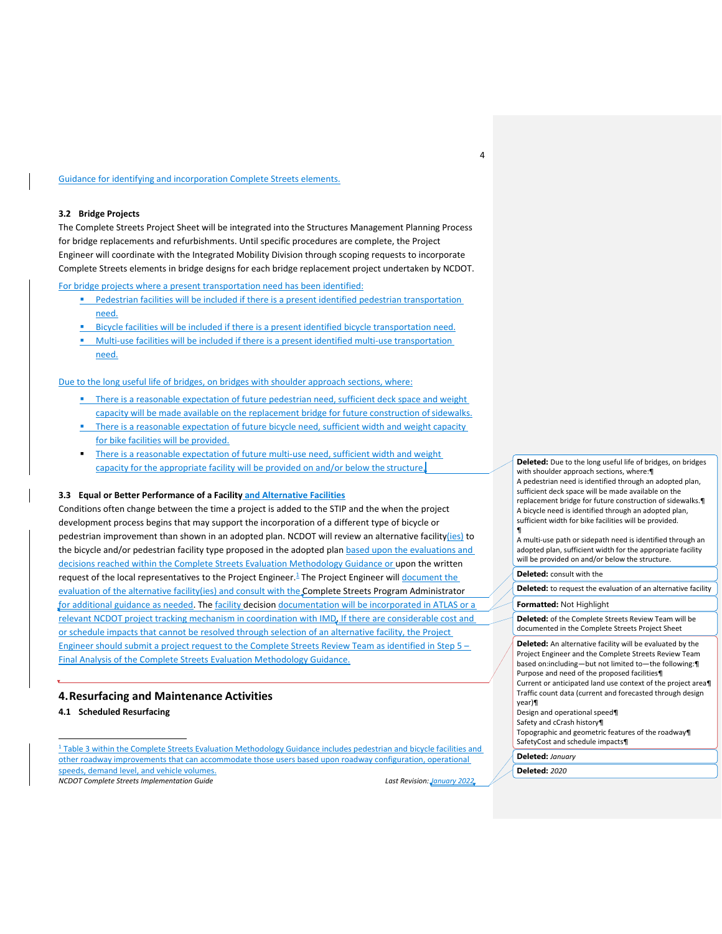Guidance for identifying and incorporation Complete Streets elements.

#### **3.2 Bridge Projects**

The Complete Streets Project Sheet will be integrated into the Structures Management Planning Process for bridge replacements and refurbishments. Until specific procedures are complete, the Project Engineer will coordinate with the Integrated Mobility Division through scoping requests to incorporate Complete Streets elements in bridge designs for each bridge replacement project undertaken by NCDOT.

For bridge projects where a present transportation need has been identified:

- Pedestrian facilities will be included if there is a present identified pedestrian transportation need.
- Bicycle facilities will be included if there is a present identified bicycle transportation need.
- Multi-use facilities will be included if there is a present identified multi-use transportation need.

Due to the long useful life of bridges, on bridges with shoulder approach sections, where:

- **•** There is a reasonable expectation of future pedestrian need, sufficient deck space and weight capacity will be made available on the replacement bridge for future construction ofsidewalks.
- **•** There is a reasonable expectation of future bicycle need, sufficient width and weight capacity for bike facilities will be provided.
- There is a reasonable expectation of future multi-use need, sufficient width and weight capacity for the appropriate facility will be provided on and/or below the structure.

#### **3.3 Equal or Better Performance of a Facility and Alternative Facilities**

Conditions often change between the time a project is added to the STIP and the when the project development process begins that may support the incorporation of a different type of bicycle or pedestrian improvement than shown in an adopted plan. NCDOT will review an alternative facility(ies) to the bicycle and/or pedestrian facility type proposed in the adopted plan based upon the evaluations and decisions reached within the Complete Streets Evaluation Methodology Guidance or upon the written request of the local representatives to the Project Engineer.<sup>1</sup> The Project Engineer will *document the* evaluation of the alternative facility(ies) and consult with the Complete Streets Program Administrator for additional guidance as needed. The facility decision documentation will be incorporated in ATLAS or a relevant NCDOT project tracking mechanism in coordination with IMD. If there are considerable cost and or schedule impacts that cannot be resolved through selection of an alternative facility, the Project Engineer should submit a project request to the Complete Streets Review Team as identified in Step 5 – Final Analysis of the Complete Streets Evaluation Methodology Guidance.

#### **4.Resurfacing and Maintenance Activities**

**4.1 Scheduled Resurfacing**

<sup>1</sup> Table 3 within the Complete Streets Evaluation Methodology Guidance includes pedestrian and bicycle facilities and other roadway improvements that can accommodate those users based upon roadway configuration, operational speeds, demand level, and vehicle volumes.

*NCDOT Complete Streets Implementation Guide Last Revision: January 2022*

**Deleted:** Due to the long useful life of bridges, on bridges with shoulder approach sections, where:¶ A pedestrian need is identified through an adopted plan, sufficient deck space will be made available on the replacement bridge for future construction of sidewalks.¶ A bicycle need is identified through an adopted plan, sufficient width for bike facilities will be provided. ¶

A multi-use path or sidepath need is identified through an adopted plan, sufficient width for the appropriate facility will be provided on and/or below the structure.

#### **Deleted:** consult with the

4

**Deleted:** to request the evaluation of an alternative facility

## **Formatted:** Not Highlight

**Deleted:** of the Complete Streets Review Team will be documented in the Complete Streets Project Sheet

**Deleted:** An alternative facility will be evaluated by the Project Engineer and the Complete Streets Review Team based on:including—but not limited to—the following:¶ Purpose and need of the proposed facilities¶ Current or anticipated land use context of the project area¶ Traffic count data (current and forecasted through design year)¶

#### Design and operational speed¶ Safety and cCrash history¶

Topographic and geometric features of the roadway¶ SafetyCost and schedule impacts¶

**Deleted:** *January*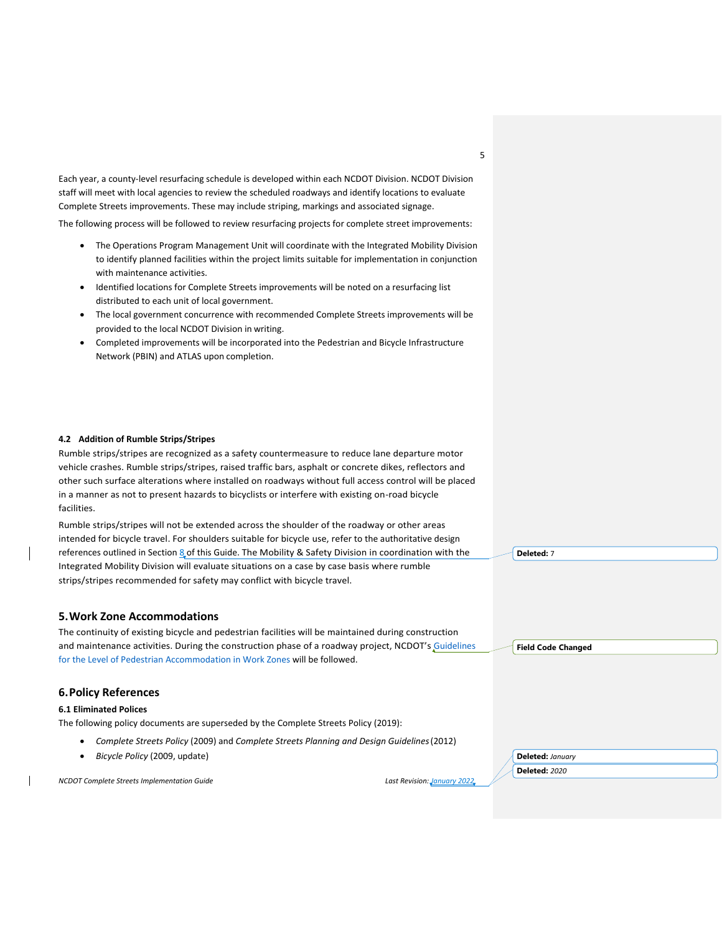Each year, a county-level resurfacing schedule is developed within each NCDOT Division. NCDOT Division staff will meet with local agencies to review the scheduled roadways and identify locations to evaluate Complete Streets improvements. These may include striping, markings and associated signage.

The following process will be followed to review resurfacing projects for complete street improvements:

- The Operations Program Management Unit will coordinate with the Integrated Mobility Division to identify planned facilities within the project limits suitable for implementation in conjunction with maintenance activities.
- Identified locations for Complete Streets improvements will be noted on a resurfacing list distributed to each unit of local government.
- The local government concurrence with recommended Complete Streets improvements will be provided to the local NCDOT Division in writing.
- Completed improvements will be incorporated into the Pedestrian and Bicycle Infrastructure Network (PBIN) and ATLAS upon completion.

#### **4.2 Addition of Rumble Strips/Stripes**

Rumble strips/stripes are recognized as a safety countermeasure to reduce lane departure motor vehicle crashes. Rumble strips/stripes, raised traffic bars, asphalt or concrete dikes, reflectors and other such surface alterations where installed on roadways without full access control will be placed in a manner as not to present hazards to bicyclists or interfere with existing on-road bicycle facilities.

Rumble strips/stripes will not be extended across the shoulder of the roadway or other areas intended for bicycle travel. For shoulders suitable for bicycle use, refer to the authoritative design references outlined in Section 8 of this Guide. The Mobility & Safety Division in coordination with the Integrated Mobility Division will evaluate situations on a case by case basis where rumble strips/stripes recommended for safety may conflict with bicycle travel.

## **5.Work Zone Accommodations**

The continuity of existing bicycle and pedestrian facilities will be maintained during construction and maintenance activities. During the construction phase of a roadway project, NCDOT's [Guidelines](https://connect.ncdot.gov/projects/WZTC/Work%20Zone%20Traffic%20Control%20Documents/GuideforTemporaryPedestrianAccommodations.pdf)  [for the Level of Pedestrian Accommodation in Work Zones](https://connect.ncdot.gov/projects/WZTC/Work%20Zone%20Traffic%20Control%20Documents/GuideforTemporaryPedestrianAccommodations.pdf) will be followed.

## **6.Policy References**

#### **6.1 Eliminated Polices**

The following policy documents are superseded by the Complete Streets Policy (2019):

- *Complete Streets Policy* (2009) and *Complete Streets Planning and Design Guidelines*(2012)
- *Bicycle Policy* (2009, update)

*NCDOT Complete Streets Implementation Guide Last Revision: January 2022*

**Deleted:** 7

**Field Code Changed**

**Deleted:** *January*  **Deleted:** *2020*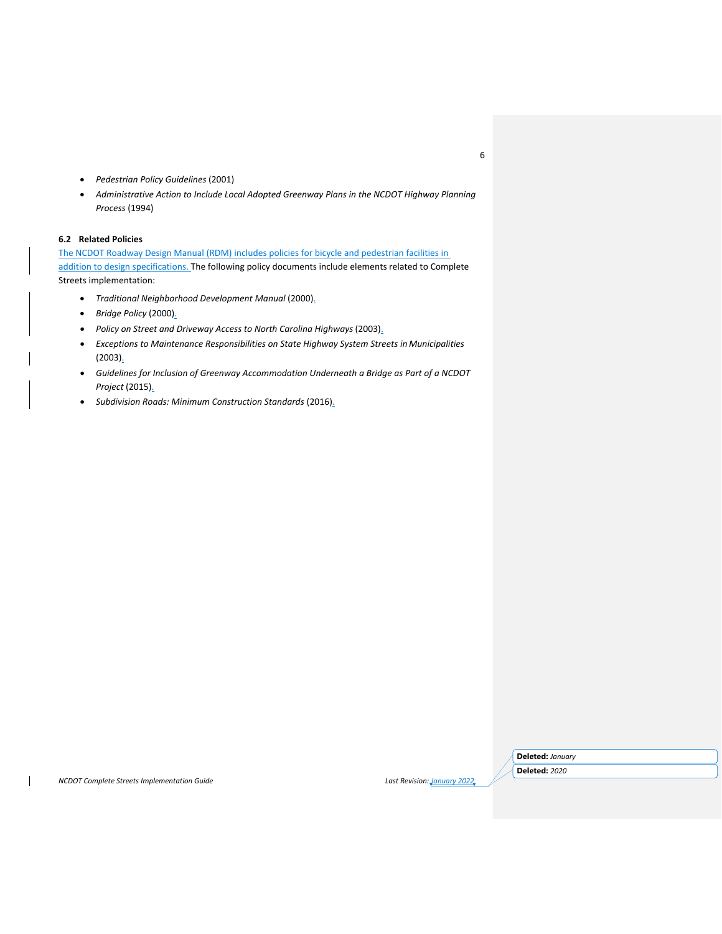- *Pedestrian Policy Guidelines* (2001)
- *Administrative Action to Include Local Adopted Greenway Plans in the NCDOT Highway Planning Process* (1994)

## **6.2 Related Policies**

The NCDOT Roadway Design Manual (RDM) includes policies for bicycle and pedestrian facilities in addition to design specifications. The following policy documents include elements related to Complete Streets implementation:

- *Traditional Neighborhood Development Manual* (2000).
- *Bridge Policy* (2000).
- *Policy on Street and Driveway Access to North Carolina Highways* (2003).
- *Exceptions to Maintenance Responsibilities on State Highway System Streets in Municipalities*  $(2003)$ .
- *Guidelines for Inclusion of Greenway Accommodation Underneath a Bridge as Part of a NCDOT Project* (2015).
- *Subdivision Roads: Minimum Construction Standards* (2016).

*NCDOT Complete Streets Implementation Guide Last Revision: January 2022*

**Deleted:** *January*  **Deleted:** *2020*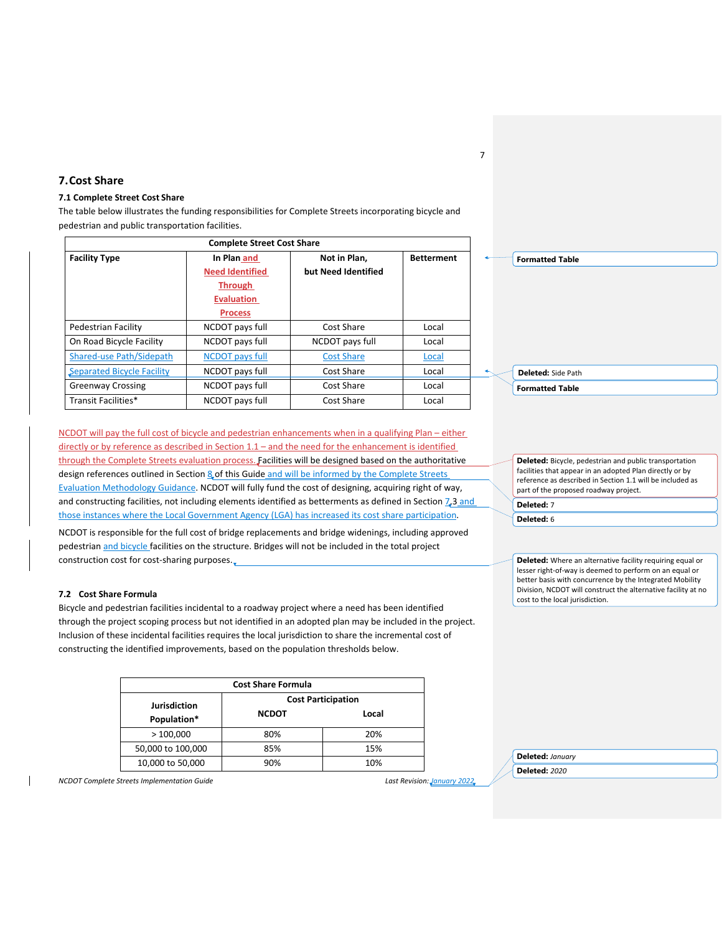## **7.Cost Share**

#### **7.1 Complete Street Cost Share**

The table below illustrates the funding responsibilities for Complete Streets incorporating bicycle and pedestrian and public transportation facilities.

| <b>Complete Street Cost Share</b> |                                                                                                |                                     |                   |
|-----------------------------------|------------------------------------------------------------------------------------------------|-------------------------------------|-------------------|
| <b>Facility Type</b>              | In Plan and<br><b>Need Identified</b><br><b>Through</b><br><b>Evaluation</b><br><b>Process</b> | Not in Plan.<br>but Need Identified | <b>Betterment</b> |
| Pedestrian Facility               | NCDOT pays full                                                                                | Cost Share                          | Local             |
| On Road Bicycle Facility          | NCDOT pays full                                                                                | NCDOT pays full                     | Local             |
| Shared-use Path/Sidepath          | <b>NCDOT</b> pays full                                                                         | <b>Cost Share</b>                   | Local             |
| Separated Bicycle Facility        | NCDOT pays full                                                                                | Cost Share                          | Local             |
| <b>Greenway Crossing</b>          | NCDOT pays full                                                                                | Cost Share                          | Local             |
| Transit Facilities*               | NCDOT pays full                                                                                | Cost Share                          | Local             |

NCDOT will pay the full cost of bicycle and pedestrian enhancements when in a qualifying Plan – either directly or by reference as described in Section 1.1 – and the need for the enhancement is identified through the Complete Streets evaluation process. Facilities will be designed based on the authoritative design references outlined in Section 8 of this Guide and will be informed by the Complete Streets Evaluation Methodology Guidance. NCDOT will fully fund the cost of designing, acquiring right of way, and constructing facilities, not including elements identified as betterments as defined in Section 7.3 and those instances where the Local Government Agency (LGA) has increased its cost share participation.

NCDOT is responsible for the full cost of bridge replacements and bridge widenings, including approved pedestrian and bicycle facilities on the structure. Bridges will not be included in the total project construction cost for cost-sharing purposes.

#### **7.2 Cost Share Formula**

Bicycle and pedestrian facilities incidental to a roadway project where a need has been identified through the project scoping process but not identified in an adopted plan may be included in the project. Inclusion of these incidental facilities requires the local jurisdiction to share the incremental cost of constructing the identified improvements, based on the population thresholds below.

| <b>Cost Share Formula</b>          |                           |       |  |
|------------------------------------|---------------------------|-------|--|
| <b>Jurisdiction</b><br>Population* | <b>Cost Participation</b> |       |  |
|                                    | <b>NCDOT</b>              | Local |  |
| >100,000                           | 80%                       | 20%   |  |
| 50,000 to 100,000                  | 85%                       | 15%   |  |
| 10,000 to 50,000                   | 90%                       | 10%   |  |

*NCDOT Complete Streets Implementation Guide Last Revision: January 2022*

**Deleted:** Bicycle, pedestrian and public transportation facilities that appear in an adopted Plan directly or by reference as described in Section 1.1 will be included as part of the proposed roadway project. **Deleted:** 7

**Deleted:** 6

**Deleted:** Where an alternative facility requiring equal or lesser right-of-way is deemed to perform on an equal or better basis with concurrence by the Integrated Mobility Division, NCDOT will construct the alternative facility at no cost to the local jurisdiction.

**Deleted:** *January*  **Deleted:** *2020*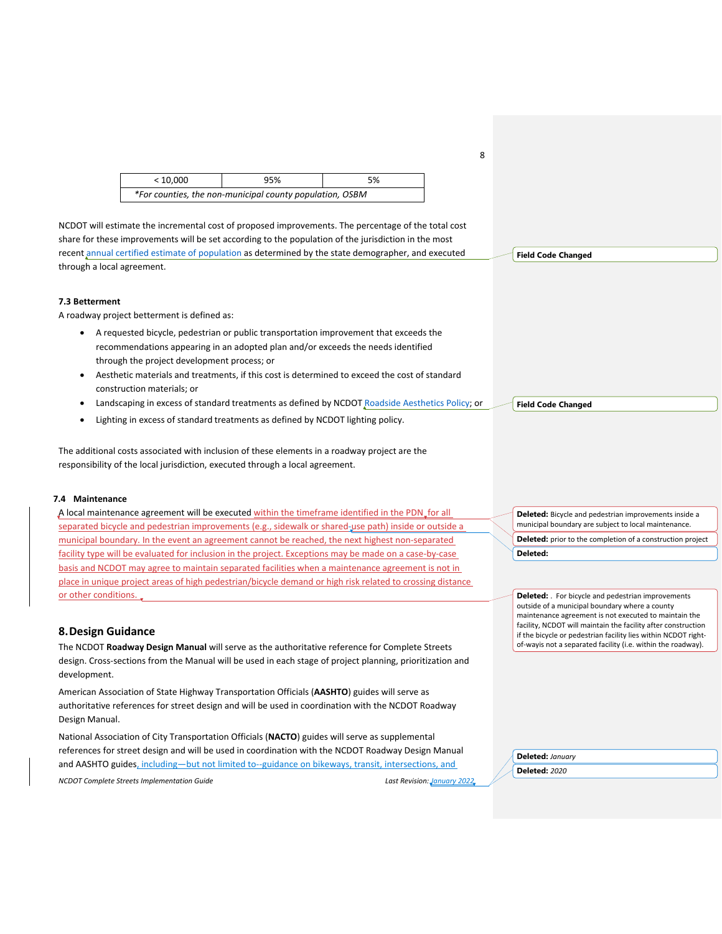| < 10.000 | 95%                                                      | 5% |
|----------|----------------------------------------------------------|----|
|          | *For counties, the non-municipal county population, OSBM |    |

NCDOT will estimate the incremental cost of proposed improvements. The percentage of the total cost share for these improvements will be set according to the population of the jurisdiction in the most recent [annual certified estimate of population a](https://www.osbm.nc.gov/facts-figures/demographics)s determined by the state demographer, and executed through a local agreement.

#### **7.3 Betterment**

A roadway project betterment is defined as:

- A requested bicycle, pedestrian or public transportation improvement that exceeds the recommendations appearing in an adopted plan and/or exceeds the needs identified through the project development process; or
- Aesthetic materials and treatments, if this cost is determined to exceed the cost of standard construction materials; or
- Landscaping in excess of standard treatments as defined by NCDOT [Roadside Aesthetics Policy;](https://connect.ncdot.gov/resources/roadside/Pages/Aesthetic-Engineering.aspx) or
- Lighting in excess of standard treatments as defined by NCDOT lighting policy.

The additional costs associated with inclusion of these elements in a roadway project are the responsibility of the local jurisdiction, executed through a local agreement.

#### **7.4 Maintenance**

A local maintenance agreement will be executed within the timeframe identified in the PDN\_for all separated bicycle and pedestrian improvements (e.g., sidewalk or shared-use path) inside or outside a municipal boundary. In the event an agreement cannot be reached, the next highest non-separated facility type will be evaluated for inclusion in the project. Exceptions may be made on a case-by-case basis and NCDOT may agree to maintain separated facilities when a maintenance agreement is not in place in unique project areas of high pedestrian/bicycle demand or high risk related to crossing distance or other conditions.

## **8.Design Guidance**

The NCDOT **Roadway Design Manual** will serve as the authoritative reference for Complete Streets design. Cross-sections from the Manual will be used in each stage of project planning, prioritization and development.

American Association of State Highway Transportation Officials (**AASHTO**) guides will serve as authoritative references for street design and will be used in coordination with the NCDOT Roadway Design Manual.

National Association of City Transportation Officials (**NACTO**) guides will serve as supplemental references for street design and will be used in coordination with the NCDOT Roadway Design Manual and AASHTO guides, including—but not limited to--guidance on bikeways, transit, intersections, and

*NCDOT Complete Streets Implementation Guide Last Revision: January 2022*

**Deleted:** *January*  **Deleted:** *2020*

**Deleted:** Bicycle and pedestrian improvements inside a municipal boundary are subject to local maintenance. **Deleted:** prior to the completion of a construction project **Deleted:** 

**Deleted:** . For bicycle and pedestrian improvements outside of a municipal boundary where a county maintenance agreement is not executed to maintain the facility, NCDOT will maintain the facility after construction if the bicycle or pedestrian facility lies within NCDOT rightof-wayis not a separated facility (i.e. within the roadway).

8

**Field Code Changed**

**Field Code Changed**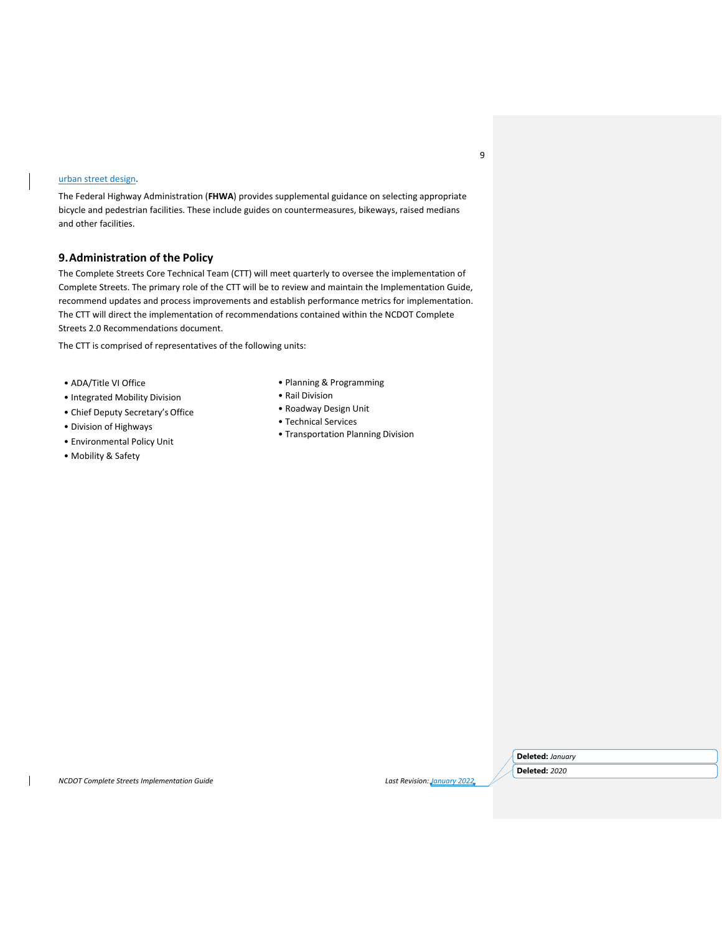## urban street design.

The Federal Highway Administration (**FHWA**) provides supplemental guidance on selecting appropriate bicycle and pedestrian facilities. These include guides on countermeasures, bikeways, raised medians and other facilities.

## **9.Administration of the Policy**

The Complete Streets Core Technical Team (CTT) will meet quarterly to oversee the implementation of Complete Streets. The primary role of the CTT will be to review and maintain the Implementation Guide, recommend updates and process improvements and establish performance metrics for implementation. The CTT will direct the implementation of recommendations contained within the NCDOT Complete Streets 2.0 Recommendations document.

The CTT is comprised of representatives of the following units:

- ADA/Title VI Office
- Integrated Mobility Division
- Chief Deputy Secretary's Office
- Division of Highways
- Environmental Policy Unit
- Mobility & Safety
- Planning & Programming
- Rail Division
- Roadway Design Unit
- Technical Services
- Transportation Planning Division

*NCDOT Complete Streets Implementation Guide Last Revision: January 2022*

**Deleted:** *January* 

**Deleted:** *2020*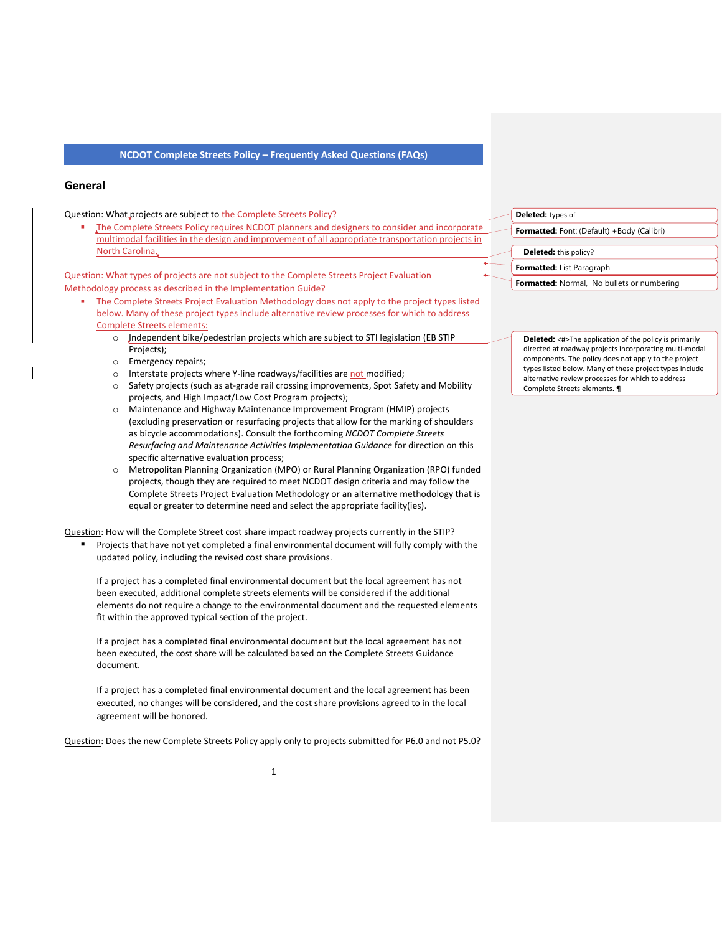## **General**

#### Question: What projects are subject to the Complete Streets Policy?

▪ The Complete Streets Policy requires NCDOT planners and designers to consider and incorporate multimodal facilities in the design and improvement of all appropriate transportation projects in North Carolina.

Question: What types of projects are not subject to the Complete Streets Project Evaluation Methodology process as described in the Implementation Guide?

- **. The Complete Streets Project Evaluation Methodology does not apply to the project types listed** below. Many of these project types include alternative review processes for which to address Complete Streets elements:
	- o Independent bike/pedestrian projects which are subject to STI legislation (EB STIP Projects);
	- o Emergency repairs;
	- o Interstate projects where Y-line roadways/facilities are not modified;
	- o Safety projects (such as at-grade rail crossing improvements, Spot Safety and Mobility projects, and High Impact/Low Cost Program projects);
	- o Maintenance and Highway Maintenance Improvement Program (HMIP) projects (excluding preservation or resurfacing projects that allow for the marking of shoulders as bicycle accommodations). Consult the forthcoming *NCDOT Complete Streets Resurfacing and Maintenance Activities Implementation Guidance* for direction on this specific alternative evaluation process;
	- o Metropolitan Planning Organization (MPO) or Rural Planning Organization (RPO) funded projects, though they are required to meet NCDOT design criteria and may follow the Complete Streets Project Evaluation Methodology or an alternative methodology that is equal or greater to determine need and select the appropriate facility(ies).

Question: How will the Complete Street cost share impact roadway projects currently in the STIP?

■ Projects that have not yet completed a final environmental document will fully comply with the updated policy, including the revised cost share provisions.

If a project has a completed final environmental document but the local agreement has not been executed, additional complete streets elements will be considered if the additional elements do not require a change to the environmental document and the requested elements fit within the approved typical section of the project.

If a project has a completed final environmental document but the local agreement has not been executed, the cost share will be calculated based on the Complete Streets Guidance document.

If a project has a completed final environmental document and the local agreement has been executed, no changes will be considered, and the cost share provisions agreed to in the local agreement will be honored.

Question: Does the new Complete Streets Policy apply only to projects submitted for P6.0 and not P5.0?

## **Deleted:** types of **Formatted:** Font: (Default) +Body (Calibri) **Deleted:** this policy? **Formatted:** List Paragraph **Formatted:** Normal, No bullets or numbering

**Deleted:** <#>The application of the policy is primarily directed at roadway projects incorporating multi-modal components. The policy does not apply to the project types listed below. Many of these project types include alternative review processes for which to address Complete Streets elements. ¶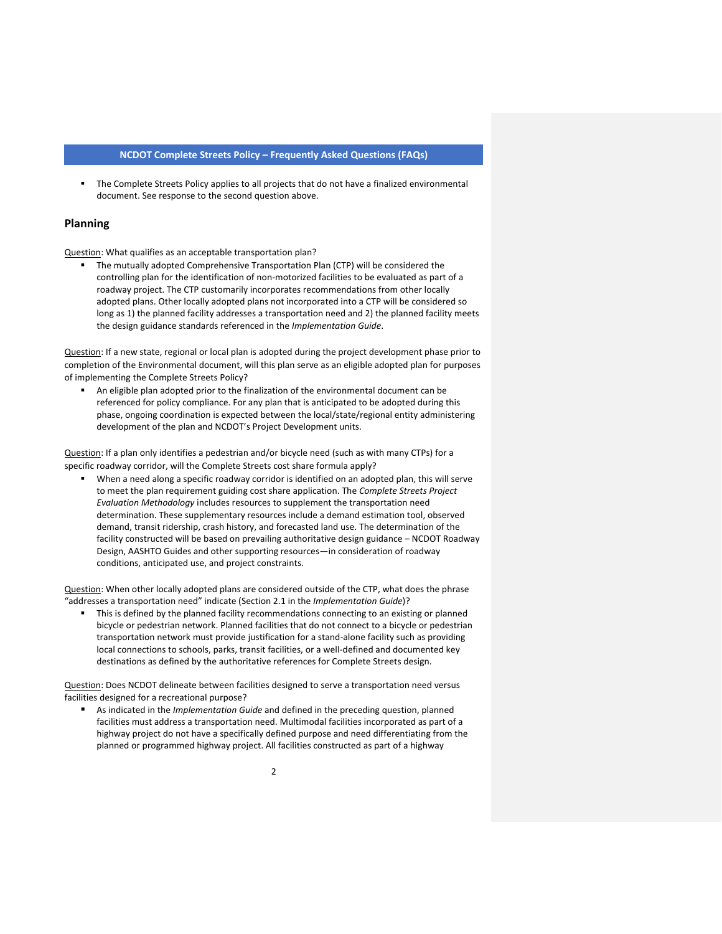■ The Complete Streets Policy applies to all projects that do not have a finalized environmental document. See response to the second question above.

#### **Planning**

Question: What qualifies as an acceptable transportation plan?

■ The mutually adopted Comprehensive Transportation Plan (CTP) will be considered the controlling plan for the identification of non-motorized facilities to be evaluated as part of a roadway project. The CTP customarily incorporates recommendations from other locally adopted plans. Other locally adopted plans not incorporated into a CTP will be considered so long as 1) the planned facility addresses a transportation need and 2) the planned facility meets the design guidance standards referenced in the *Implementation Guide*.

Question: If a new state, regional or local plan is adopted during the project development phase prior to completion of the Environmental document, will this plan serve as an eligible adopted plan for purposes of implementing the Complete Streets Policy?

■ An eligible plan adopted prior to the finalization of the environmental document can be referenced for policy compliance. For any plan that is anticipated to be adopted during this phase, ongoing coordination is expected between the local/state/regional entity administering development of the plan and NCDOT's Project Development units.

Question: If a plan only identifies a pedestrian and/or bicycle need (such as with many CTPs) for a specific roadway corridor, will the Complete Streets cost share formula apply?

When a need along a specific roadway corridor is identified on an adopted plan, this will serve to meet the plan requirement guiding cost share application. The *Complete Streets Project Evaluation Methodology* includes resources to supplement the transportation need determination. These supplementary resources include a demand estimation tool, observed demand, transit ridership, crash history, and forecasted land use. The determination of the facility constructed will be based on prevailing authoritative design guidance – NCDOT Roadway Design, AASHTO Guides and other supporting resources—in consideration of roadway conditions, anticipated use, and project constraints.

Question: When other locally adopted plans are considered outside of the CTP, what does the phrase "addresses a transportation need" indicate (Section 2.1 in the *Implementation Guide*)?

**■** This is defined by the planned facility recommendations connecting to an existing or planned bicycle or pedestrian network. Planned facilities that do not connect to a bicycle or pedestrian transportation network must provide justification for a stand-alone facility such as providing local connections to schools, parks, transit facilities, or a well-defined and documented key destinations as defined by the authoritative references for Complete Streets design.

Question: Does NCDOT delineate between facilities designed to serve a transportation need versus facilities designed for a recreational purpose?

■ As indicated in the *Implementation Guide* and defined in the preceding question, planned facilities must address a transportation need. Multimodal facilities incorporated as part of a highway project do not have a specifically defined purpose and need differentiating from the planned or programmed highway project. All facilities constructed as part of a highway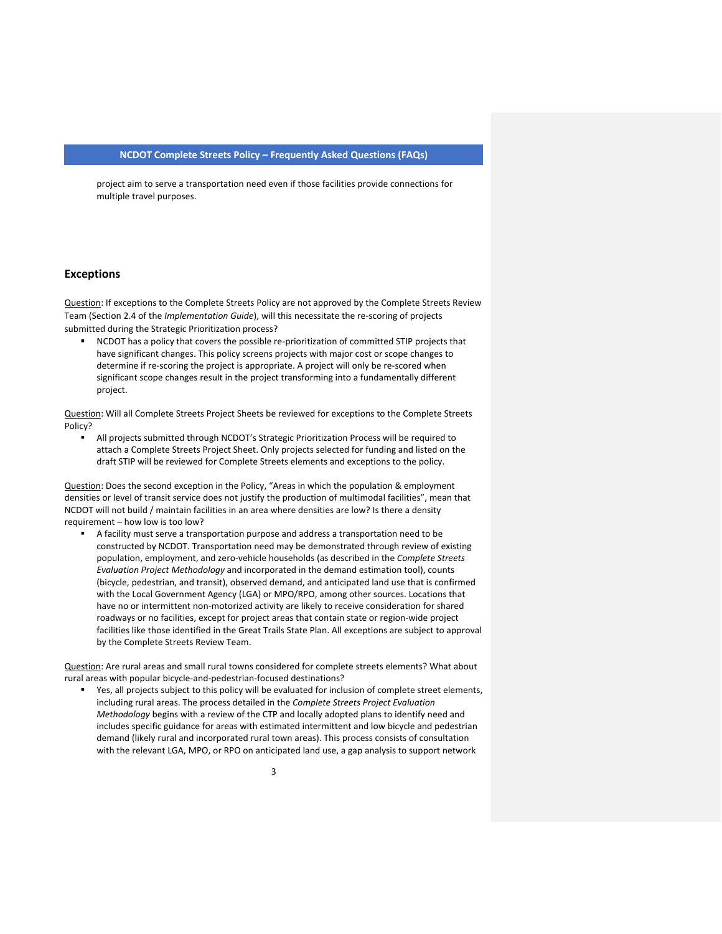project aim to serve a transportation need even if those facilities provide connections for multiple travel purposes.

#### **Exceptions**

Question: If exceptions to the Complete Streets Policy are not approved by the Complete Streets Review Team (Section 2.4 of the *Implementation Guide*), will this necessitate the re-scoring of projects submitted during the Strategic Prioritization process?

NCDOT has a policy that covers the possible re-prioritization of committed STIP projects that have significant changes. This policy screens projects with major cost or scope changes to determine if re-scoring the project is appropriate. A project will only be re-scored when significant scope changes result in the project transforming into a fundamentally different project.

Question: Will all Complete Streets Project Sheets be reviewed for exceptions to the Complete Streets Policy?

■ All projects submitted through NCDOT's Strategic Prioritization Process will be required to attach a Complete Streets Project Sheet. Only projects selected for funding and listed on the draft STIP will be reviewed for Complete Streets elements and exceptions to the policy.

Question: Does the second exception in the Policy, "Areas in which the population & employment densities or level of transit service does not justify the production of multimodal facilities", mean that NCDOT will not build / maintain facilities in an area where densities are low? Is there a density requirement – how low is too low?

▪ A facility must serve a transportation purpose and address a transportation need to be constructed by NCDOT. Transportation need may be demonstrated through review of existing population, employment, and zero-vehicle households (as described in the *Complete Streets Evaluation Project Methodology* and incorporated in the demand estimation tool), counts (bicycle, pedestrian, and transit), observed demand, and anticipated land use that is confirmed with the Local Government Agency (LGA) or MPO/RPO, among other sources. Locations that have no or intermittent non-motorized activity are likely to receive consideration for shared roadways or no facilities, except for project areas that contain state or region-wide project facilities like those identified in the Great Trails State Plan. All exceptions are subject to approval by the Complete Streets Review Team.

Question: Are rural areas and small rural towns considered for complete streets elements? What about rural areas with popular bicycle-and-pedestrian-focused destinations?

■ Yes, all projects subject to this policy will be evaluated for inclusion of complete street elements, including rural areas. The process detailed in the *Complete Streets Project Evaluation Methodology* begins with a review of the CTP and locally adopted plans to identify need and includes specific guidance for areas with estimated intermittent and low bicycle and pedestrian demand (likely rural and incorporated rural town areas). This process consists of consultation with the relevant LGA, MPO, or RPO on anticipated land use, a gap analysis to support network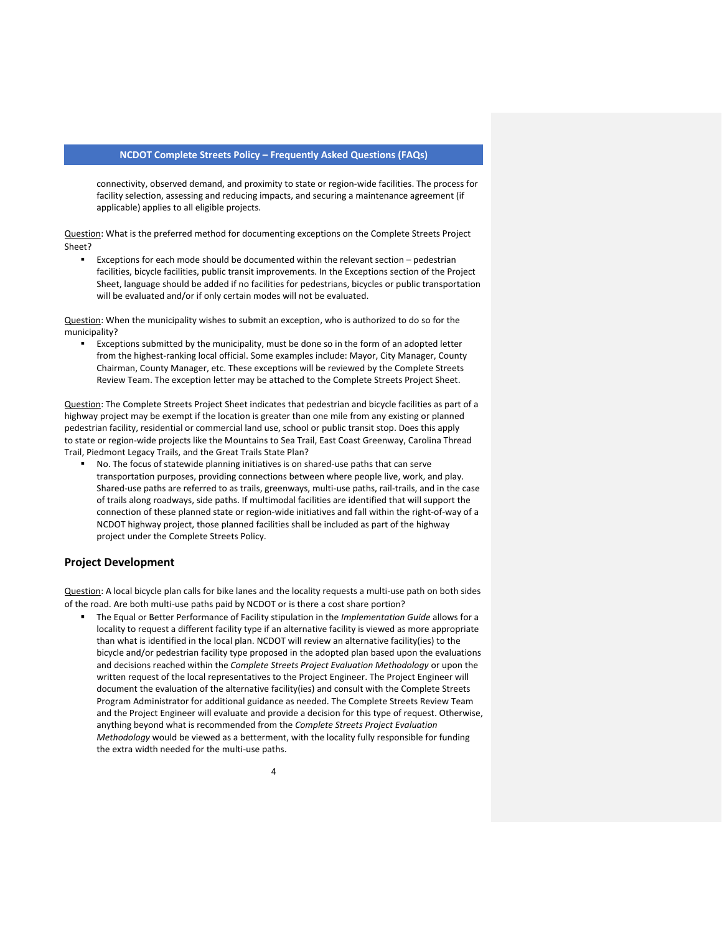connectivity, observed demand, and proximity to state or region-wide facilities. The process for facility selection, assessing and reducing impacts, and securing a maintenance agreement (if applicable) applies to all eligible projects.

Question: What is the preferred method for documenting exceptions on the Complete Streets Project Sheet?

Exceptions for each mode should be documented within the relevant section - pedestrian facilities, bicycle facilities, public transit improvements. In the Exceptions section of the Project Sheet, language should be added if no facilities for pedestrians, bicycles or public transportation will be evaluated and/or if only certain modes will not be evaluated.

Question: When the municipality wishes to submit an exception, who is authorized to do so for the municipality?

■ Exceptions submitted by the municipality, must be done so in the form of an adopted letter from the highest-ranking local official. Some examples include: Mayor, City Manager, County Chairman, County Manager, etc. These exceptions will be reviewed by the Complete Streets Review Team. The exception letter may be attached to the Complete Streets Project Sheet.

Question: The Complete Streets Project Sheet indicates that pedestrian and bicycle facilities as part of a highway project may be exempt if the location is greater than one mile from any existing or planned pedestrian facility, residential or commercial land use, school or public transit stop. Does this apply to state or region-wide projects like the Mountains to Sea Trail, East Coast Greenway, Carolina Thread Trail, Piedmont Legacy Trails, and the Great Trails State Plan?

■ No. The focus of statewide planning initiatives is on shared-use paths that can serve transportation purposes, providing connections between where people live, work, and play. Shared-use paths are referred to as trails, greenways, multi-use paths, rail-trails, and in the case of trails along roadways, side paths. If multimodal facilities are identified that will support the connection of these planned state or region-wide initiatives and fall within the right-of-way of a NCDOT highway project, those planned facilities shall be included as part of the highway project under the Complete Streets Policy.

## **Project Development**

Question: A local bicycle plan calls for bike lanes and the locality requests a multi-use path on both sides of the road. Are both multi-use paths paid by NCDOT or is there a cost share portion?

▪ The Equal or Better Performance of Facility stipulation in the *Implementation Guide* allows for a locality to request a different facility type if an alternative facility is viewed as more appropriate than what is identified in the local plan. NCDOT will review an alternative facility(ies) to the bicycle and/or pedestrian facility type proposed in the adopted plan based upon the evaluations and decisions reached within the *Complete Streets Project Evaluation Methodology* or upon the written request of the local representatives to the Project Engineer. The Project Engineer will document the evaluation of the alternative facility(ies) and consult with the Complete Streets Program Administrator for additional guidance as needed. The Complete Streets Review Team and the Project Engineer will evaluate and provide a decision for this type of request. Otherwise, anything beyond what is recommended from the *Complete Streets Project Evaluation Methodology* would be viewed as a betterment, with the locality fully responsible for funding the extra width needed for the multi-use paths.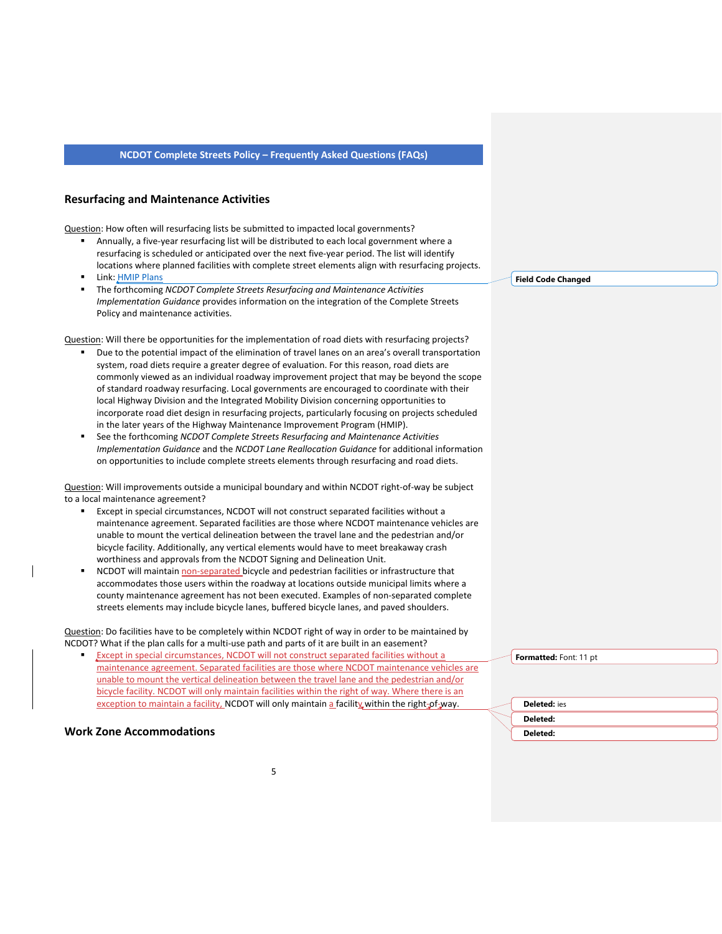## **Resurfacing and Maintenance Activities**

Question: How often will resurfacing lists be submitted to impacted local governments?

- Annually, a five-year resurfacing list will be distributed to each local government where a resurfacing is scheduled or anticipated over the next five-year period. The list will identify locations where planned facilities with complete street elements align with resurfacing projects.
- Link: [HMIP Plans](https://connect.ncdot.gov/resources/Asset-Management/HMIP-Plans/Pages/HMIP.aspx)
- The forthcoming *NCDOT Complete Streets Resurfacing and Maintenance Activities Implementation Guidance* provides information on the integration of the Complete Streets Policy and maintenance activities.

Question: Will there be opportunities for the implementation of road diets with resurfacing projects?

- Due to the potential impact of the elimination of travel lanes on an area's overall transportation system, road diets require a greater degree of evaluation. For this reason, road diets are commonly viewed as an individual roadway improvement project that may be beyond the scope of standard roadway resurfacing. Local governments are encouraged to coordinate with their local Highway Division and the Integrated Mobility Division concerning opportunities to incorporate road diet design in resurfacing projects, particularly focusing on projects scheduled in the later years of the Highway Maintenance Improvement Program (HMIP).
- See the forthcoming *NCDOT Complete Streets Resurfacing and Maintenance Activities Implementation Guidance* and the *NCDOT Lane Reallocation Guidance* for additional information on opportunities to include complete streets elements through resurfacing and road diets.

Question: Will improvements outside a municipal boundary and within NCDOT right-of-way be subject to a local maintenance agreement?

- Except in special circumstances, NCDOT will not construct separated facilities without a maintenance agreement. Separated facilities are those where NCDOT maintenance vehicles are unable to mount the vertical delineation between the travel lane and the pedestrian and/or bicycle facility. Additionally, any vertical elements would have to meet breakaway crash worthiness and approvals from the NCDOT Signing and Delineation Unit.
- NCDOT will maintain non-separated bicycle and pedestrian facilities or infrastructure that accommodates those users within the roadway at locations outside municipal limits where a county maintenance agreement has not been executed. Examples of non-separated complete streets elements may include bicycle lanes, buffered bicycle lanes, and paved shoulders.

Question: Do facilities have to be completely within NCDOT right of way in order to be maintained by NCDOT? What if the plan calls for a multi-use path and parts of it are built in an easement?

**Except in special circumstances, NCDOT will not construct separated facilities without a** maintenance agreement. Separated facilities are those where NCDOT maintenance vehicles are unable to mount the vertical delineation between the travel lane and the pedestrian and/or bicycle facility. NCDOT will only maintain facilities within the right of way. Where there is an exception to maintain a facility, NCDOT will only maintain a facility within the right-of-way.

## **Work Zone Accommodations**

**Field Code Changed**

**Formatted:** Font: 11 pt

| <b>Deleted:</b> ies |
|---------------------|
| Deleted:            |
| Deleted:            |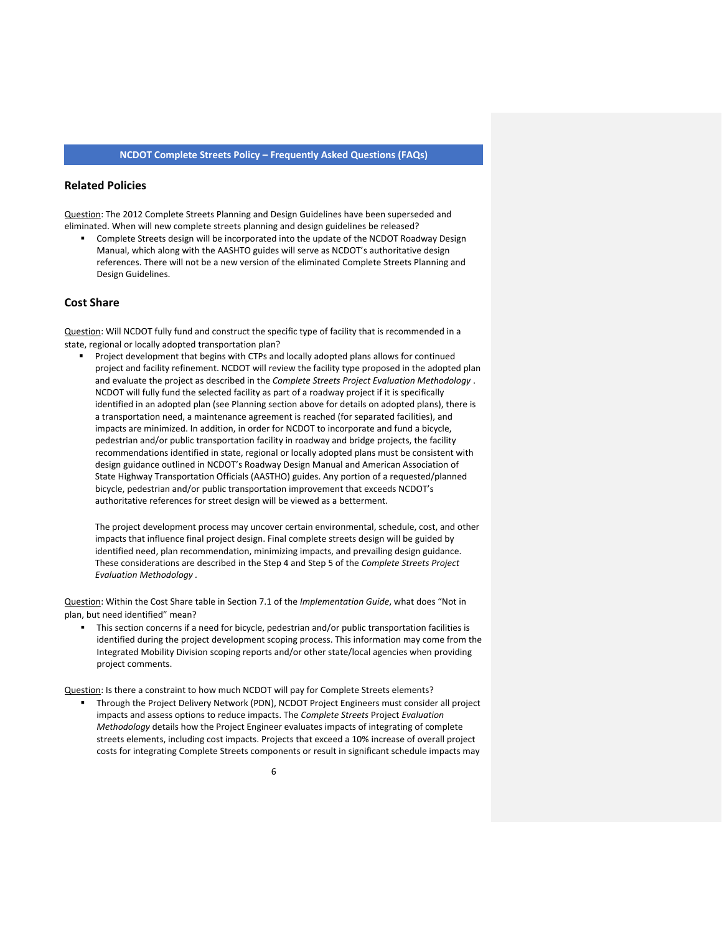## **Related Policies**

Question: The 2012 Complete Streets Planning and Design Guidelines have been superseded and eliminated. When will new complete streets planning and design guidelines be released?

**•** Complete Streets design will be incorporated into the update of the NCDOT Roadway Design Manual, which along with the AASHTO guides will serve as NCDOT's authoritative design references. There will not be a new version of the eliminated Complete Streets Planning and Design Guidelines.

## **Cost Share**

Question: Will NCDOT fully fund and construct the specific type of facility that is recommended in a state, regional or locally adopted transportation plan?

■ Project development that begins with CTPs and locally adopted plans allows for continued project and facility refinement. NCDOT will review the facility type proposed in the adopted plan and evaluate the project as described in the *Complete Streets Project Evaluation Methodology* . NCDOT will fully fund the selected facility as part of a roadway project if it is specifically identified in an adopted plan (see Planning section above for details on adopted plans), there is a transportation need, a maintenance agreement is reached (for separated facilities), and impacts are minimized. In addition, in order for NCDOT to incorporate and fund a bicycle, pedestrian and/or public transportation facility in roadway and bridge projects, the facility recommendations identified in state, regional or locally adopted plans must be consistent with design guidance outlined in NCDOT's Roadway Design Manual and American Association of State Highway Transportation Officials (AASTHO) guides. Any portion of a requested/planned bicycle, pedestrian and/or public transportation improvement that exceeds NCDOT's authoritative references for street design will be viewed as a betterment.

The project development process may uncover certain environmental, schedule, cost, and other impacts that influence final project design. Final complete streets design will be guided by identified need, plan recommendation, minimizing impacts, and prevailing design guidance. These considerations are described in the Step 4 and Step 5 of the *Complete Streets Project Evaluation Methodology .*

Question: Within the Cost Share table in Section 7.1 of the *Implementation Guide*, what does "Not in plan, but need identified" mean?

This section concerns if a need for bicycle, pedestrian and/or public transportation facilities is identified during the project development scoping process. This information may come from the Integrated Mobility Division scoping reports and/or other state/local agencies when providing project comments.

Question: Is there a constraint to how much NCDOT will pay for Complete Streets elements?

▪ Through the Project Delivery Network (PDN), NCDOT Project Engineers must consider all project impacts and assess options to reduce impacts. The *Complete Streets* Project *Evaluation Methodology* details how the Project Engineer evaluates impacts of integrating of complete streets elements, including cost impacts. Projects that exceed a 10% increase of overall project costs for integrating Complete Streets components or result in significant schedule impacts may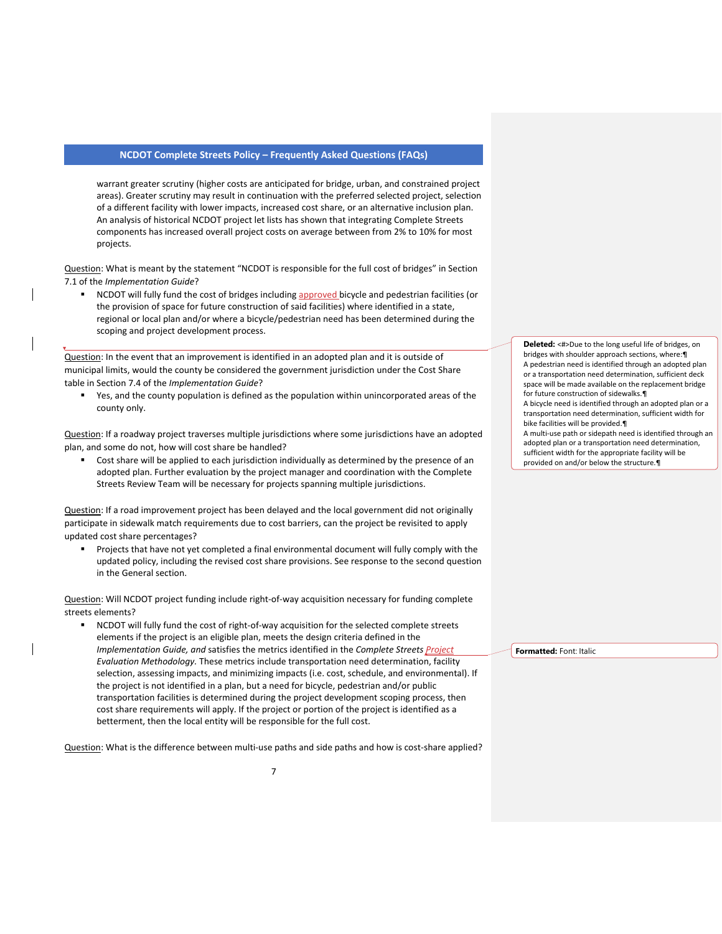warrant greater scrutiny (higher costs are anticipated for bridge, urban, and constrained project areas). Greater scrutiny may result in continuation with the preferred selected project, selection of a different facility with lower impacts, increased cost share, or an alternative inclusion plan. An analysis of historical NCDOT project let lists has shown that integrating Complete Streets components has increased overall project costs on average between from 2% to 10% for most projects.

Question: What is meant by the statement "NCDOT is responsible for the full cost of bridges" in Section 7.1 of the *Implementation Guide*?

NCDOT will fully fund the cost of bridges including approved bicycle and pedestrian facilities (or the provision of space for future construction of said facilities) where identified in a state, regional or local plan and/or where a bicycle/pedestrian need has been determined during the scoping and project development process.

Question: In the event that an improvement is identified in an adopted plan and it is outside of municipal limits, would the county be considered the government jurisdiction under the Cost Share table in Section 7.4 of the *Implementation Guide*?

Yes, and the county population is defined as the population within unincorporated areas of the county only.

Question: If a roadway project traverses multiple jurisdictions where some jurisdictions have an adopted plan, and some do not, how will cost share be handled?

Cost share will be applied to each jurisdiction individually as determined by the presence of an adopted plan. Further evaluation by the project manager and coordination with the Complete Streets Review Team will be necessary for projects spanning multiple jurisdictions.

Question: If a road improvement project has been delayed and the local government did not originally participate in sidewalk match requirements due to cost barriers, can the project be revisited to apply updated cost share percentages?

▪ Projects that have not yet completed a final environmental document will fully comply with the updated policy, including the revised cost share provisions. See response to the second question in the General section.

Question: Will NCDOT project funding include right-of-way acquisition necessary for funding complete streets elements?

▪ NCDOT will fully fund the cost of right-of-way acquisition for the selected complete streets elements if the project is an eligible plan, meets the design criteria defined in the *Implementation Guide, and* satisfies the metrics identified in the *Complete Streets Project Evaluation Methodology.* These metrics include transportation need determination, facility selection, assessing impacts, and minimizing impacts (i.e. cost, schedule, and environmental). If the project is not identified in a plan, but a need for bicycle, pedestrian and/or public transportation facilities is determined during the project development scoping process, then cost share requirements will apply. If the project or portion of the project is identified as a betterment, then the local entity will be responsible for the full cost.

Question: What is the difference between multi-use paths and side paths and how is cost-share applied?

Deleted: <#>Due to the long useful life of bridges, on bridges with shoulder approach sections, where:¶ A pedestrian need is identified through an adopted plan or a transportation need determination, sufficient deck space will be made available on the replacement bridge for future construction of sidewalks A bicycle need is identified through an adopted plan or a transportation need determination, sufficient width for bike facilities will be provided.¶ A multi-use path or sidepath need is identified through an adopted plan or a transportation need determination, sufficient width for the appropriate facility will be provided on and/or below the structure.¶

**Formatted:** Font: Italic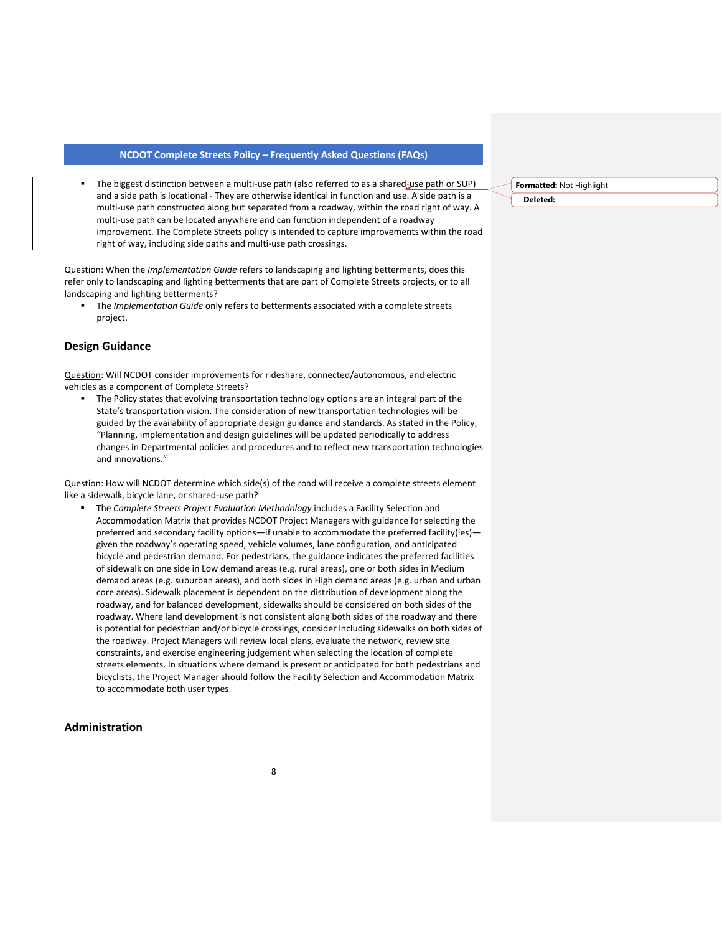The biggest distinction between a multi-use path (also referred to as a shared-use path or SUP) and a side path is locational - They are otherwise identical in function and use. A side path is a multi-use path constructed along but separated from a roadway, within the road right of way. A multi-use path can be located anywhere and can function independent of a roadway improvement. The Complete Streets policy is intended to capture improvements within the road right of way, including side paths and multi-use path crossings.

Question: When the *Implementation Guide* refers to landscaping and lighting betterments, does this refer only to landscaping and lighting betterments that are part of Complete Streets projects, or to all landscaping and lighting betterments?

**■** The *Implementation Guide* only refers to betterments associated with a complete streets project.

## **Design Guidance**

Question: Will NCDOT consider improvements for rideshare, connected/autonomous, and electric vehicles as a component of Complete Streets?

**■** The Policy states that evolving transportation technology options are an integral part of the State's transportation vision. The consideration of new transportation technologies will be guided by the availability of appropriate design guidance and standards. As stated in the Policy, "Planning, implementation and design guidelines will be updated periodically to address changes in Departmental policies and procedures and to reflect new transportation technologies and innovations."

Question: How will NCDOT determine which side(s) of the road will receive a complete streets element like a sidewalk, bicycle lane, or shared-use path?

The *Complete Streets Project Evaluation Methodology* includes a Facility Selection and Accommodation Matrix that provides NCDOT Project Managers with guidance for selecting the preferred and secondary facility options—if unable to accommodate the preferred facility(ies) given the roadway's operating speed, vehicle volumes, lane configuration, and anticipated bicycle and pedestrian demand. For pedestrians, the guidance indicates the preferred facilities of sidewalk on one side in Low demand areas (e.g. rural areas), one or both sides in Medium demand areas (e.g. suburban areas), and both sides in High demand areas (e.g. urban and urban core areas). Sidewalk placement is dependent on the distribution of development along the roadway, and for balanced development, sidewalks should be considered on both sides of the roadway. Where land development is not consistent along both sides of the roadway and there is potential for pedestrian and/or bicycle crossings, consider including sidewalks on both sides of the roadway. Project Managers will review local plans, evaluate the network, review site constraints, and exercise engineering judgement when selecting the location of complete streets elements. In situations where demand is present or anticipated for both pedestrians and bicyclists, the Project Manager should follow the Facility Selection and Accommodation Matrix to accommodate both user types.

## **Administration**

**Formatted:** Not Highlight **Deleted:**